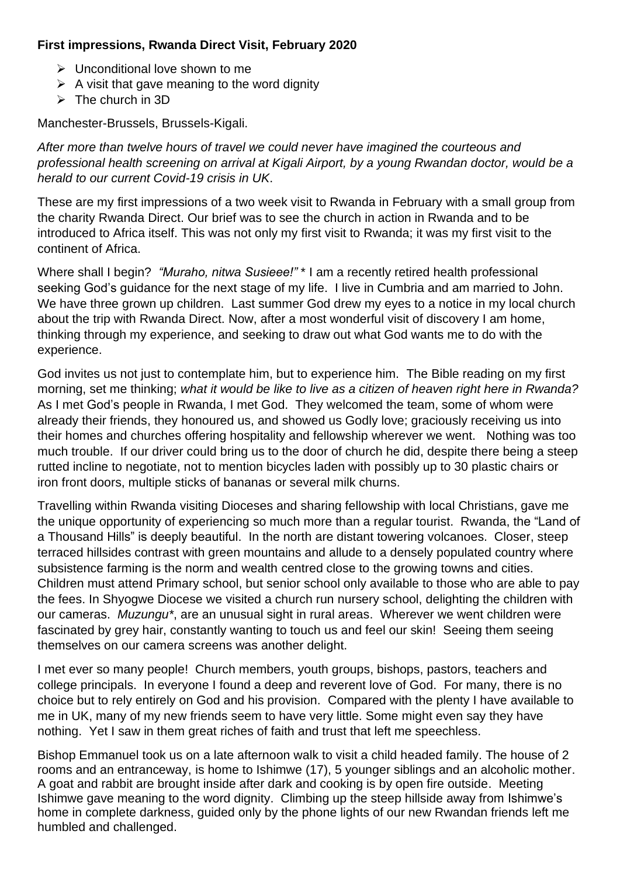## **First impressions, Rwanda Direct Visit, February 2020**

- $\triangleright$  Unconditional love shown to me
- $\triangleright$  A visit that gave meaning to the word dignity
- $\triangleright$  The church in 3D

Manchester-Brussels, Brussels-Kigali.

*After more than twelve hours of travel we could never have imagined the courteous and professional health screening on arrival at Kigali Airport, by a young Rwandan doctor, would be a herald to our current Covid-19 crisis in UK*.

These are my first impressions of a two week visit to Rwanda in February with a small group from the charity Rwanda Direct. Our brief was to see the church in action in Rwanda and to be introduced to Africa itself. This was not only my first visit to Rwanda; it was my first visit to the continent of Africa.

Where shall I begin? *"Muraho, nitwa Susieee!"* \* I am a recently retired health professional seeking God's guidance for the next stage of my life. I live in Cumbria and am married to John. We have three grown up children. Last summer God drew my eyes to a notice in my local church about the trip with Rwanda Direct. Now, after a most wonderful visit of discovery I am home, thinking through my experience, and seeking to draw out what God wants me to do with the experience.

God invites us not just to contemplate him, but to experience him. The Bible reading on my first morning, set me thinking; *what it would be like to live as a citizen of heaven right here in Rwanda?* As I met God's people in Rwanda, I met God. They welcomed the team, some of whom were already their friends, they honoured us, and showed us Godly love; graciously receiving us into their homes and churches offering hospitality and fellowship wherever we went. Nothing was too much trouble. If our driver could bring us to the door of church he did, despite there being a steep rutted incline to negotiate, not to mention bicycles laden with possibly up to 30 plastic chairs or iron front doors, multiple sticks of bananas or several milk churns.

Travelling within Rwanda visiting Dioceses and sharing fellowship with local Christians, gave me the unique opportunity of experiencing so much more than a regular tourist. Rwanda, the "Land of a Thousand Hills" is deeply beautiful. In the north are distant towering volcanoes. Closer, steep terraced hillsides contrast with green mountains and allude to a densely populated country where subsistence farming is the norm and wealth centred close to the growing towns and cities. Children must attend Primary school, but senior school only available to those who are able to pay the fees. In Shyogwe Diocese we visited a church run nursery school, delighting the children with our cameras. *Muzungu\**, are an unusual sight in rural areas. Wherever we went children were fascinated by grey hair, constantly wanting to touch us and feel our skin! Seeing them seeing themselves on our camera screens was another delight.

I met ever so many people! Church members, youth groups, bishops, pastors, teachers and college principals. In everyone I found a deep and reverent love of God. For many, there is no choice but to rely entirely on God and his provision. Compared with the plenty I have available to me in UK, many of my new friends seem to have very little. Some might even say they have nothing. Yet I saw in them great riches of faith and trust that left me speechless.

Bishop Emmanuel took us on a late afternoon walk to visit a child headed family. The house of 2 rooms and an entranceway, is home to Ishimwe (17), 5 younger siblings and an alcoholic mother. A goat and rabbit are brought inside after dark and cooking is by open fire outside. Meeting Ishimwe gave meaning to the word dignity. Climbing up the steep hillside away from Ishimwe's home in complete darkness, guided only by the phone lights of our new Rwandan friends left me humbled and challenged.